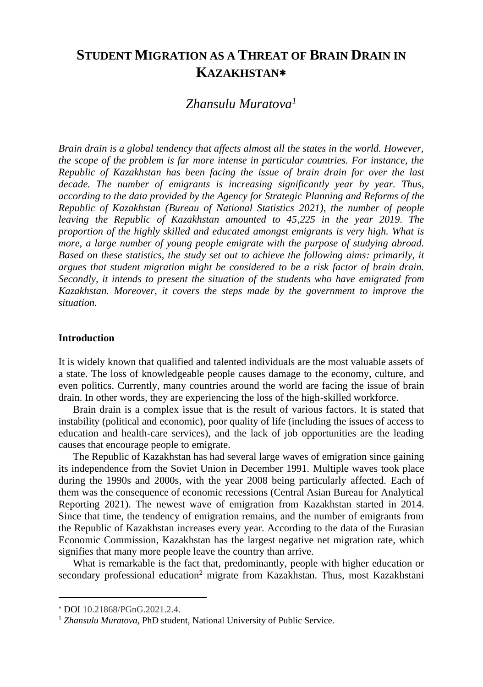# **STUDENT MIGRATION AS A THREAT OF BRAIN DRAIN IN KAZAKHSTAN**

# *Zhansulu Muratova<sup>1</sup>*

*Brain drain is a global tendency that affects almost all the states in the world. However, the scope of the problem is far more intense in particular countries. For instance, the Republic of Kazakhstan has been facing the issue of brain drain for over the last decade. The number of emigrants is increasing significantly year by year. Thus, according to the data provided by the Agency for Strategic Planning and Reforms of the Republic of Kazakhstan (Bureau of National Statistics 2021), the number of people*  leaving the Republic of Kazakhstan amounted to 45,225 in the year 2019. The *proportion of the highly skilled and educated amongst emigrants is very high. What is more, a large number of young people emigrate with the purpose of studying abroad. Based on these statistics, the study set out to achieve the following aims: primarily, it argues that student migration might be considered to be a risk factor of brain drain. Secondly, it intends to present the situation of the students who have emigrated from Kazakhstan. Moreover, it covers the steps made by the government to improve the situation.* 

#### **Introduction**

It is widely known that qualified and talented individuals are the most valuable assets of a state. The loss of knowledgeable people causes damage to the economy, culture, and even politics. Currently, many countries around the world are facing the issue of brain drain. In other words, they are experiencing the loss of the high-skilled workforce.

Brain drain is a complex issue that is the result of various factors. It is stated that instability (political and economic), poor quality of life (including the issues of access to education and health-care services), and the lack of job opportunities are the leading causes that encourage people to emigrate.

The Republic of Kazakhstan has had several large waves of emigration since gaining its independence from the Soviet Union in December 1991. Multiple waves took place during the 1990s and 2000s, with the year 2008 being particularly affected. Each of them was the consequence of economic recessions (Central Asian Bureau for Analytical Reporting 2021). The newest wave of emigration from Kazakhstan started in 2014. Since that time, the tendency of emigration remains, and the number of emigrants from the Republic of Kazakhstan increases every year. According to the data of the Eurasian Economic Commission, Kazakhstan has the largest negative net migration rate, which signifies that many more people leave the country than arrive.

What is remarkable is the fact that, predominantly, people with higher education or secondary professional education<sup>2</sup> migrate from Kazakhstan. Thus, most Kazakhstani

DOI 10.21868/PGnG.2021.2.4.

<sup>1</sup> *Zhansulu Muratova,* PhD student, National University of Public Service.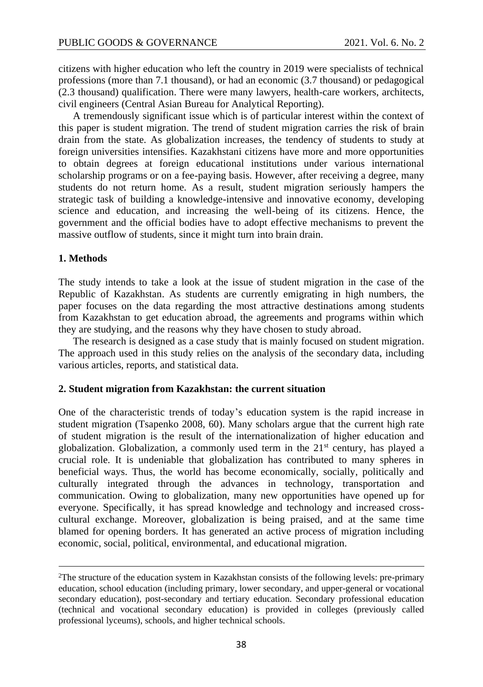citizens with higher education who left the country in 2019 were specialists of technical professions (more than 7.1 thousand), or had an economic (3.7 thousand) or pedagogical (2.3 thousand) qualification. There were many lawyers, health-care workers, architects, civil engineers (Central Asian Bureau for Analytical Reporting).

A tremendously significant issue which is of particular interest within the context of this paper is student migration. The trend of student migration carries the risk of brain drain from the state. As globalization increases, the tendency of students to study at foreign universities intensifies. Kazakhstani citizens have more and more opportunities to obtain degrees at foreign educational institutions under various international scholarship programs or on a fee-paying basis. However, after receiving a degree, many students do not return home. As a result, student migration seriously hampers the strategic task of building a knowledge-intensive and innovative economy, developing science and education, and increasing the well-being of its citizens. Hence, the government and the official bodies have to adopt effective mechanisms to prevent the massive outflow of students, since it might turn into brain drain.

#### **1. Methods**

The study intends to take a look at the issue of student migration in the case of the Republic of Kazakhstan. As students are currently emigrating in high numbers, the paper focuses on the data regarding the most attractive destinations among students from Kazakhstan to get education abroad, the agreements and programs within which they are studying, and the reasons why they have chosen to study abroad.

The research is designed as a case study that is mainly focused on student migration. The approach used in this study relies on the analysis of the secondary data, including various articles, reports, and statistical data.

#### **2. Student migration from Kazakhstan: the current situation**

One of the characteristic trends of today's education system is the rapid increase in student migration (Tsapenko 2008, 60). Many scholars argue that the current high rate of student migration is the result of the internationalization of higher education and globalization. Globalization, a commonly used term in the  $21<sup>st</sup>$  century, has played a crucial role. It is undeniable that globalization has contributed to many spheres in beneficial ways. Thus, the world has become economically, socially, politically and culturally integrated through the advances in technology, transportation and communication. Owing to globalization, many new opportunities have opened up for everyone. Specifically, it has spread knowledge and technology and increased crosscultural exchange. Moreover, globalization is being praised, and at the same time blamed for opening borders. It has generated an active process of migration including economic, social, political, environmental, and educational migration.

<sup>2</sup>The structure of the education system in Kazakhstan consists of the following levels: pre-primary education, school education (including primary, lower secondary, and upper-general or vocational secondary education), post-secondary and tertiary education. Secondary professional education (technical and vocational secondary education) is provided in colleges (previously called professional lyceums), schools, and higher technical schools.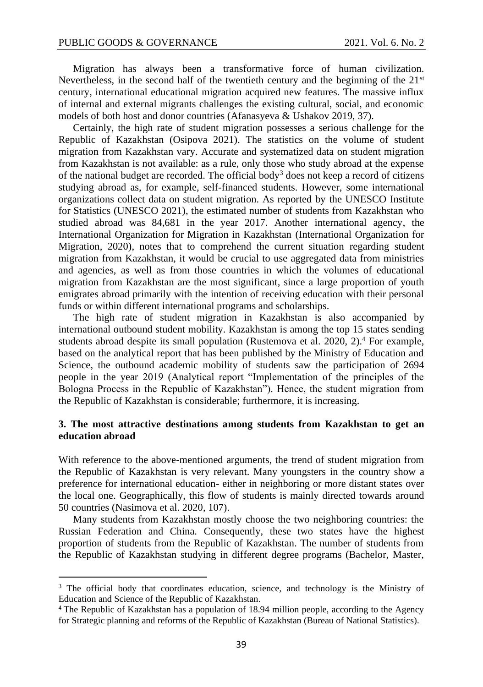Migration has always been a transformative force of human civilization. Nevertheless, in the second half of the twentieth century and the beginning of the  $21<sup>st</sup>$ century, international educational migration acquired new features. The massive influx of internal and external migrants challenges the existing cultural, social, and economic models of both host and donor countries (Afanasyeva & Ushakov 2019, 37).

Certainly, the high rate of student migration possesses a serious challenge for the Republic of Kazakhstan (Osipova 2021). The statistics on the volume of student migration from Kazakhstan vary. Accurate and systematized data on student migration from Kazakhstan is not available: as a rule, only those who study abroad at the expense of the national budget are recorded. The official body<sup>3</sup> does not keep a record of citizens studying abroad as, for example, self-financed students. However, some international organizations collect data on student migration. As reported by the UNESCO Institute for Statistics (UNESCO 2021), the estimated number of students from Kazakhstan who studied abroad was 84,681 in the year 2017. Another international agency, the International Organization for Migration in Kazakhstan (International Organization for Migration, 2020), notes that to comprehend the current situation regarding student migration from Kazakhstan, it would be crucial to use aggregated data from ministries and agencies, as well as from those countries in which the volumes of educational migration from Kazakhstan are the most significant, since a large proportion of youth emigrates abroad primarily with the intention of receiving education with their personal funds or within different international programs and scholarships.

The high rate of student migration in Kazakhstan is also accompanied by international outbound student mobility. Kazakhstan is among the top 15 states sending students abroad despite its small population (Rustemova et al. 2020, 2).<sup>4</sup> For example, based on the analytical report that has been published by the Ministry of Education and Science, the outbound academic mobility of students saw the participation of 2694 people in the year 2019 (Analytical report "Implementation of the principles of the Bologna Process in the Republic of Kazakhstan"). Hence, the student migration from the Republic of Kazakhstan is considerable; furthermore, it is increasing.

### **3. The most attractive destinations among students from Kazakhstan to get an education abroad**

With reference to the above-mentioned arguments, the trend of student migration from the Republic of Kazakhstan is very relevant. Many youngsters in the country show a preference for international education- either in neighboring or more distant states over the local one. Geographically, this flow of students is mainly directed towards around 50 countries (Nasimova et al. 2020, 107).

Many students from Kazakhstan mostly choose the two neighboring countries: the Russian Federation and China. Consequently, these two states have the highest proportion of students from the Republic of Kazakhstan. The number of students from the Republic of Kazakhstan studying in different degree programs (Bachelor, Master,

<sup>&</sup>lt;sup>3</sup> The official body that coordinates education, science, and technology is the Ministry of Education and Science of the Republic of Kazakhstan.

<sup>4</sup> The Republic of Kazakhstan has a population of 18.94 million people, according to the Agency for Strategic planning and reforms of the Republic of Kazakhstan (Bureau of National Statistics).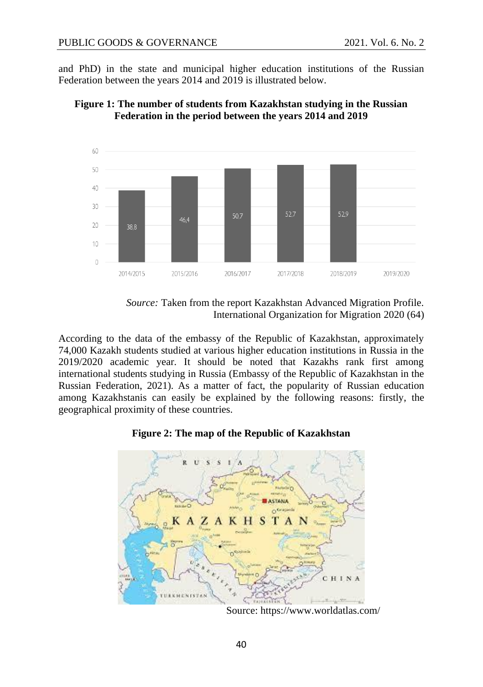and PhD) in the state and municipal higher education institutions of the Russian Federation between the years 2014 and 2019 is illustrated below.





*Source:* Taken from the report Kazakhstan Advanced Migration Profile. International Organization for Migration 2020 (64)

According to the data of the embassy of the Republic of Kazakhstan, approximately 74,000 Kazakh students studied at various higher education institutions in Russia in the 2019/2020 academic year. It should be noted that Kazakhs rank first among international students studying in Russia (Embassy of the Republic of Kazakhstan in the Russian Federation, 2021). As a matter of fact, the popularity of Russian education among Kazakhstanis can easily be explained by the following reasons: firstly, the geographical proximity of these countries.

#### **Figure 2: The map of the Republic of Kazakhstan**



Source: https://www.worldatlas.com/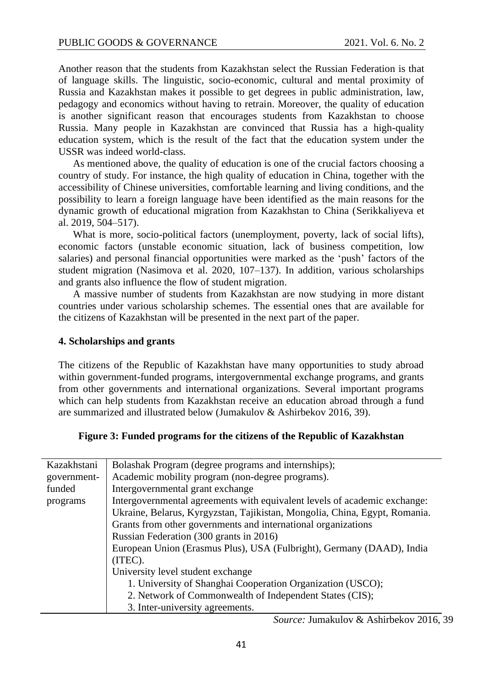Another reason that the students from Kazakhstan select the Russian Federation is that of language skills. The linguistic, socio-economic, cultural and mental proximity of Russia and Kazakhstan makes it possible to get degrees in public administration, law, pedagogy and economics without having to retrain. Moreover, the quality of education is another significant reason that encourages students from Kazakhstan to choose Russia. Many people in Kazakhstan are convinced that Russia has a high-quality education system, which is the result of the fact that the education system under the USSR was indeed world-class.

As mentioned above, the quality of education is one of the crucial factors choosing a country of study. For instance, the high quality of education in China, together with the accessibility of Chinese universities, comfortable learning and living conditions, and the possibility to learn a foreign language have been identified as the main reasons for the dynamic growth of educational migration from Kazakhstan to China (Serikkaliyeva et al. 2019, 504–517).

What is more, socio-political factors (unemployment, poverty, lack of social lifts), economic factors (unstable economic situation, lack of business competition, low salaries) and personal financial opportunities were marked as the 'push' factors of the student migration (Nasimova et al. 2020, 107–137). In addition, various scholarships and grants also influence the flow of student migration.

A massive number of students from Kazakhstan are now studying in more distant countries under various scholarship schemes. The essential ones that are available for the citizens of Kazakhstan will be presented in the next part of the paper.

#### **4. Scholarships and grants**

The citizens of the Republic of Kazakhstan have many opportunities to study abroad within government-funded programs, intergovernmental exchange programs, and grants from other governments and international organizations. Several important programs which can help students from Kazakhstan receive an education abroad through a fund are summarized and illustrated below (Jumakulov & Ashirbekov 2016, 39).

### **Figure 3: Funded programs for the citizens of the Republic of Kazakhstan**

| Kazakhstani | Bolashak Program (degree programs and internships);                        |
|-------------|----------------------------------------------------------------------------|
| government- | Academic mobility program (non-degree programs).                           |
| funded      | Intergovernmental grant exchange                                           |
| programs    | Intergovernmental agreements with equivalent levels of academic exchange:  |
|             | Ukraine, Belarus, Kyrgyzstan, Tajikistan, Mongolia, China, Egypt, Romania. |
|             | Grants from other governments and international organizations              |
|             | Russian Federation (300 grants in 2016)                                    |
|             | European Union (Erasmus Plus), USA (Fulbright), Germany (DAAD), India      |
|             | (ITEC).                                                                    |
|             | University level student exchange                                          |
|             | 1. University of Shanghai Cooperation Organization (USCO);                 |
|             | 2. Network of Commonwealth of Independent States (CIS);                    |
|             | 3. Inter-university agreements.                                            |

*Source:* Jumakulov & Ashirbekov 2016, 39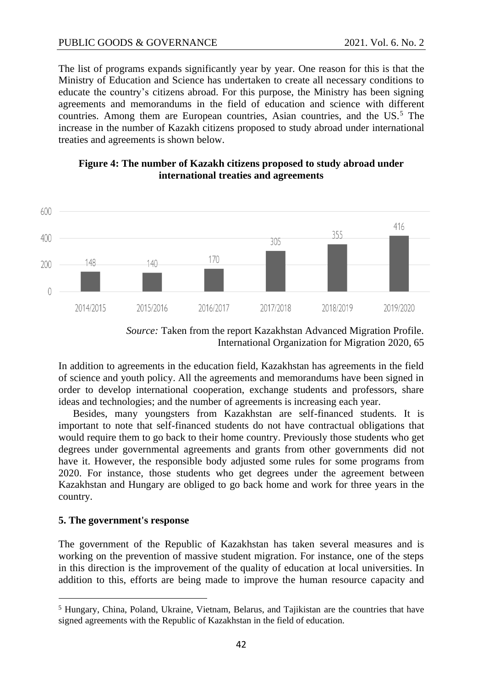The list of programs expands significantly year by year. One reason for this is that the Ministry of Education and Science has undertaken to create all necessary conditions to educate the country's citizens abroad. For this purpose, the Ministry has been signing agreements and memorandums in the field of education and science with different countries. Among them are European countries, Asian countries, and the  $US^5$ . The increase in the number of Kazakh citizens proposed to study abroad under international treaties and agreements is shown below.

#### **Figure 4: The number of Kazakh citizens proposed to study abroad under international treaties and agreements**





In addition to agreements in the education field, Kazakhstan has agreements in the field of science and youth policy. All the agreements and memorandums have been signed in order to develop international cooperation, exchange students and professors, share ideas and technologies; and the number of agreements is increasing each year.

Besides, many youngsters from Kazakhstan are self-financed students. It is important to note that self-financed students do not have contractual obligations that would require them to go back to their home country. Previously those students who get degrees under governmental agreements and grants from other governments did not have it. However, the responsible body adjusted some rules for some programs from 2020. For instance, those students who get degrees under the agreement between Kazakhstan and Hungary are obliged to go back home and work for three years in the country.

#### **5. The government's response**

The government of the Republic of Kazakhstan has taken several measures and is working on the prevention of massive student migration. For instance, one of the steps in this direction is the improvement of the quality of education at local universities. In addition to this, efforts are being made to improve the human resource capacity and

<sup>5</sup> Hungary, China, Poland, Ukraine, Vietnam, Belarus, and Tajikistan are the countries that have signed agreements with the Republic of Kazakhstan in the field of education.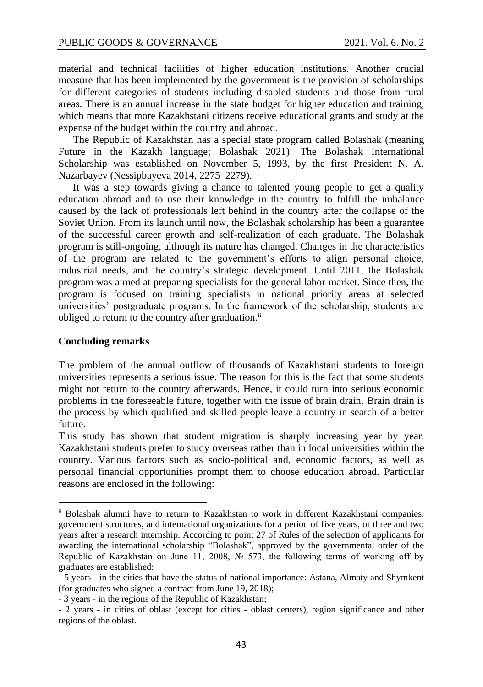material and technical facilities of higher education institutions. Another crucial measure that has been implemented by the government is the provision of scholarships for different categories of students including disabled students and those from rural areas. There is an annual increase in the state budget for higher education and training, which means that more Kazakhstani citizens receive educational grants and study at the expense of the budget within the country and abroad.

The Republic of Kazakhstan has a special state program called Bolashak (meaning Future in the Kazakh language; Bolashak 2021). The Bolashak International Scholarship was established on November 5, 1993, by the first President N. A. Nazarbayev (Nessipbayeva 2014, 2275–2279).

It was a step towards giving a chance to talented young people to get a quality education abroad and to use their knowledge in the country to fulfill the imbalance caused by the lack of professionals left behind in the country after the collapse of the Soviet Union. From its launch until now, the Bolashak scholarship has been a guarantee of the successful career growth and self-realization of each graduate. The Bolashak program is still-ongoing, although its nature has changed. Changes in the characteristics of the program are related to the government's efforts to align personal choice, industrial needs, and the country's strategic development. Until 2011, the Bolashak program was aimed at preparing specialists for the general labor market. Since then, the program is focused on training specialists in national priority areas at selected universities' postgraduate programs. In the framework of the scholarship, students are obliged to return to the country after graduation.<sup>6</sup>

#### **Concluding remarks**

The problem of the annual outflow of thousands of Kazakhstani students to foreign universities represents a serious issue. The reason for this is the fact that some students might not return to the country afterwards. Hence, it could turn into serious economic problems in the foreseeable future, together with the issue of brain drain. Brain drain is the process by which qualified and skilled people leave a country in search of a better future.

This study has shown that student migration is sharply increasing year by year. Kazakhstani students prefer to study overseas rather than in local universities within the country. Various factors such as socio-political and, economic factors, as well as personal financial opportunities prompt them to choose education abroad. Particular reasons are enclosed in the following:

<sup>6</sup> Bolashak alumni have to return to Kazakhstan to work in different Kazakhstani companies, government structures, and international organizations for a period of five years, or three and two years after a research internship. According to point 27 of Rules of the selection of applicants for awarding the international scholarship "Bolashak", approved by the governmental order of the Republic of Kazakhstan on June 11, 2008, № 573, the following terms of working off by graduates are established:

<sup>-</sup> 5 years - in the cities that have the status of national importance: Astana, Almaty and Shymkent (for graduates who signed a contract from June 19, 2018);

<sup>-</sup> 3 years - in the regions of the Republic of Kazakhstan;

<sup>-</sup> 2 years - in cities of oblast (except for cities - oblast centers), region significance and other regions of the oblast.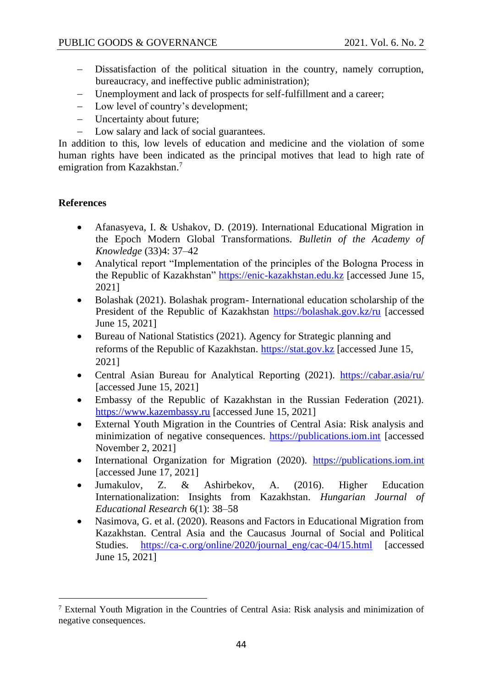- Dissatisfaction of the political situation in the country, namely corruption, bureaucracy, and ineffective public administration);
- − Unemployment and lack of prospects for self-fulfillment and a career;
- − Low level of country's development;
- − Uncertainty about future;
- − Low salary and lack of social guarantees.

In addition to this, low levels of education and medicine and the violation of some human rights have been indicated as the principal motives that lead to high rate of emigration from Kazakhstan.<sup>7</sup>

## **References**

- Afanasyeva, I. & Ushakov, D. (2019). International Educational Migration in the Epoch Modern Global Transformations. *Bulletin of the Academy of Knowledge* (33)4: 37–42
- Analytical report "Implementation of the principles of the Bologna Process in the Republic of Kazakhstan" [https://enic-kazakhstan.edu.kz](https://enic-kazakhstan.edu.kz/) [accessed June 15, 2021]
- Bolashak (2021). Bolashak program- International education scholarship of the President of the Republic of Kazakhstan<https://bolashak.gov.kz/ru> [accessed] June 15, 2021]
- Bureau of National Statistics (2021). Agency for Strategic planning and reforms of the Republic of Kazakhstan. [https://stat.gov.kz](https://stat.gov.kz/) [accessed June 15, 2021]
- Central Asian Bureau for Analytical Reporting (2021).<https://cabar.asia/ru/> [accessed June 15, 2021]
- Embassy of the Republic of Kazakhstan in the Russian Federation (2021). [https://www.kazembassy.ru](https://www.kazembassy.ru/) [accessed June 15, 2021]
- External Youth Migration in the Countries of Central Asia: Risk analysis and minimization of negative consequences. [https://publications.iom.int](https://publications.iom.int/) [accessed November 2, 2021]
- International Organization for Migration (2020). [https://publications.iom.int](https://publications.iom.int/) [accessed June 17, 2021]
- Jumakulov, Z. & Ashirbekov, A. (2016). Higher Education Internationalization: Insights from Kazakhstan. *Hungarian Journal of Educational Research* 6(1): 38–58
- Nasimova, G. et al. (2020). Reasons and Factors in Educational Migration from Kazakhstan. Central Asia and the Caucasus Journal of Social and Political Studies. [https://ca-c.org/online/2020/journal\\_eng/cac-04/15.html](https://ca-c.org/online/2020/journal_eng/cac-04/15.html) [accessed June 15, 2021]

<sup>&</sup>lt;sup>7</sup> External Youth Migration in the Countries of Central Asia: Risk analysis and minimization of negative consequences.